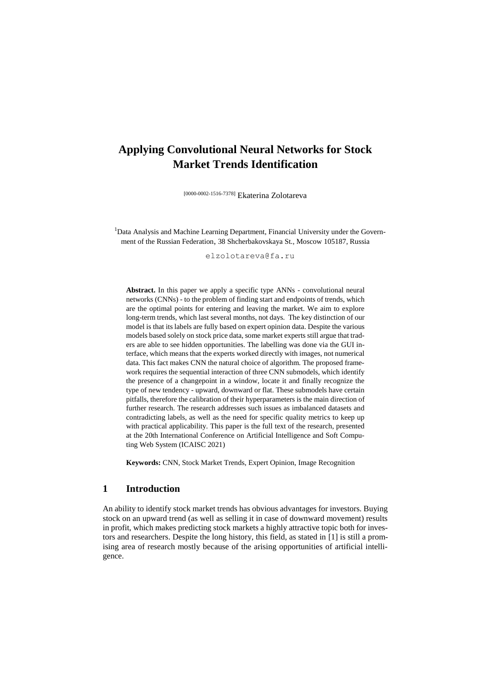# **Applying Convolutional Neural Networks for Stock Market Trends Identification**

[0000-0002-1516-7378] Ekaterina Zolotareva

<sup>1</sup>Data Analysis and Machine Learning Department, Financial University under the Government of the Russian Federation, 38 Shcherbakovskaya St., Moscow 105187, Russia

[elzolotareva@fa.ru](mailto:elzolotareva@fa.ru)

**Abstract.** In this paper we apply a specific type ANNs - convolutional neural networks (CNNs) - to the problem of finding start and endpoints of trends, which are the optimal points for entering and leaving the market. We aim to explore long-term trends, which last several months, not days. The key distinction of our model is that its labels are fully based on expert opinion data. Despite the various models based solely on stock price data, some market experts still argue that traders are able to see hidden opportunities. The labelling was done via the GUI interface, which means that the experts worked directly with images, not numerical data. This fact makes CNN the natural choice of algorithm. The proposed framework requires the sequential interaction of three CNN submodels, which identify the presence of a changepoint in a window, locate it and finally recognize the type of new tendency - upward, downward or flat. These submodels have certain pitfalls, therefore the calibration of their hyperparameters is the main direction of further research. The research addresses such issues as imbalanced datasets and contradicting labels, as well as the need for specific quality metrics to keep up with practical applicability. This paper is the full text of the research, presented at the 20th International Conference on Artificial Intelligence and Soft Computing Web System (ICAISC 2021)

**Keywords:** CNN, Stock Market Trends, Expert Opinion, Image Recognition

# **1 Introduction**

An ability to identify stock market trends has obvious advantages for investors. Buying stock on an upward trend (as well as selling it in case of downward movement) results in profit, which makes predicting stock markets a highly attractive topic both for investors and researchers. Despite the long history, this field, as stated in [1] is still a promising area of research mostly because of the arising opportunities of artificial intelligence.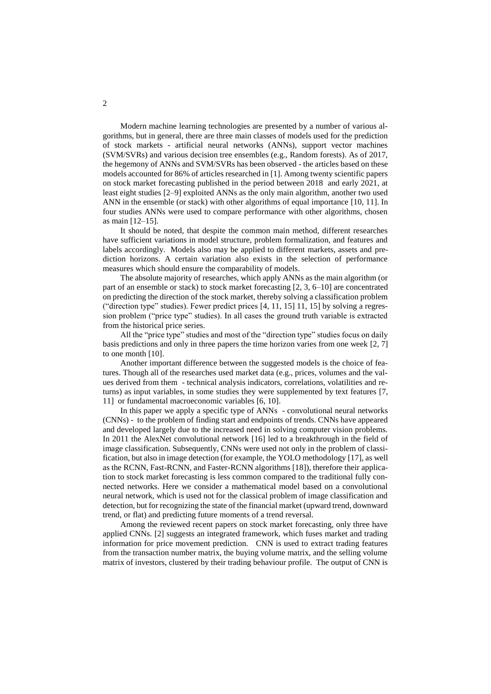Modern machine learning technologies are presented by a number of various algorithms, but in general, there are three main classes of models used for the prediction of stock markets - artificial neural networks (ANNs), support vector machines (SVM/SVRs) and various decision tree ensembles (e.g., Random forests). As of 2017, the hegemony of ANNs and SVM/SVRs has been observed - the articles based on these models accounted for 86% of articles researched in [1]. Among twenty scientific papers on stock market forecasting published in the period between 2018 and early 2021, at least eight studies [2–9] exploited ANNs as the only main algorithm, another two used ANN in the ensemble (or stack) with other algorithms of equal importance [10, 11]. In four studies ANNs were used to compare performance with other algorithms, chosen as main [12–15].

It should be noted, that despite the common main method, different researches have sufficient variations in model structure, problem formalization, and features and labels accordingly. Models also may be applied to different markets, assets and prediction horizons. A certain variation also exists in the selection of performance measures which should ensure the comparability of models.

The absolute majority of researches, which apply ANNs as the main algorithm (or part of an ensemble or stack) to stock market forecasting [2, 3, 6–10] are concentrated on predicting the direction of the stock market, thereby solving a classification problem ("direction type" studies). Fewer predict prices [4, 11, 15] 11, 15] by solving a regression problem ("price type" studies). In all cases the ground truth variable is extracted from the historical price series.

All the "price type" studies and most of the "direction type" studies focus on daily basis predictions and only in three papers the time horizon varies from one week [2, 7] to one month [10].

Another important difference between the suggested models is the choice of features. Though all of the researches used market data (e.g., prices, volumes and the values derived from them - technical analysis indicators, correlations, volatilities and returns) as input variables, in some studies they were supplemented by text features [7, 11] or fundamental macroeconomic variables [6, 10].

In this paper we apply a specific type of ANNs - convolutional neural networks (CNNs) - to the problem of finding start and endpoints of trends. CNNs have appeared and developed largely due to the increased need in solving computer vision problems. In 2011 the AlexNet convolutional network [16] led to a breakthrough in the field of image classification. Subsequently, CNNs were used not only in the problem of classification, but also in image detection (for example, the YOLO methodology [17], as well as the RCNN, Fast-RCNN, and Faster-RCNN algorithms [18]), therefore their application to stock market forecasting is less common compared to the traditional fully connected networks. Here we consider a mathematical model based on a convolutional neural network, which is used not for the classical problem of image classification and detection, but for recognizing the state of the financial market (upward trend, downward trend, or flat) and predicting future moments of a trend reversal.

Among the reviewed recent papers on stock market forecasting, only three have applied CNNs. [2] suggests an integrated framework, which fuses market and trading information for price movement prediction. CNN is used to extract trading features from the transaction number matrix, the buying volume matrix, and the selling volume matrix of investors, clustered by their trading behaviour profile. The output of CNN is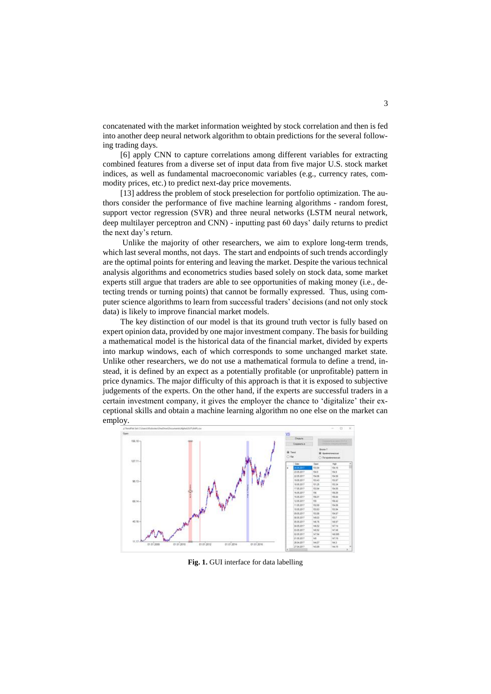concatenated with the market information weighted by stock correlation and then is fed into another deep neural network algorithm to obtain predictions for the several following trading days.

[6] apply CNN to capture correlations among different variables for extracting combined features from a diverse set of input data from five major U.S. stock market indices, as well as fundamental macroeconomic variables (e.g., currency rates, commodity prices, etc.) to predict next-day price movements.

[13] address the problem of stock preselection for portfolio optimization. The authors consider the performance of five machine learning algorithms - random forest, support vector regression (SVR) and three neural networks (LSTM neural network, deep multilayer perceptron and CNN) - inputting past 60 days' daily returns to predict the next day's return.

Unlike the majority of other researchers, we aim to explore long-term trends, which last several months, not days. The start and endpoints of such trends accordingly are the optimal points for entering and leaving the market. Despite the various technical analysis algorithms and econometrics studies based solely on stock data, some market experts still argue that traders are able to see opportunities of making money (i.e., detecting trends or turning points) that cannot be formally expressed. Thus, using computer science algorithms to learn from successful traders' decisions (and not only stock data) is likely to improve financial market models.

The key distinction of our model is that its ground truth vector is fully based on expert opinion data, provided by one major investment company. The basis for building a mathematical model is the historical data of the financial market, divided by experts into markup windows, each of which corresponds to some unchanged market state. Unlike other researchers, we do not use a mathematical formula to define a trend, instead, it is defined by an expect as a potentially profitable (or unprofitable) pattern in price dynamics. The major difficulty of this approach is that it is exposed to subjective judgements of the experts. On the other hand, if the experts are successful traders in a certain investment company, it gives the employer the chance to 'digitalize' their exceptional skills and obtain a machine learning algorithm no one else on the market can employ.

<span id="page-2-0"></span>

**Fig. 1.** GUI interface for data labelling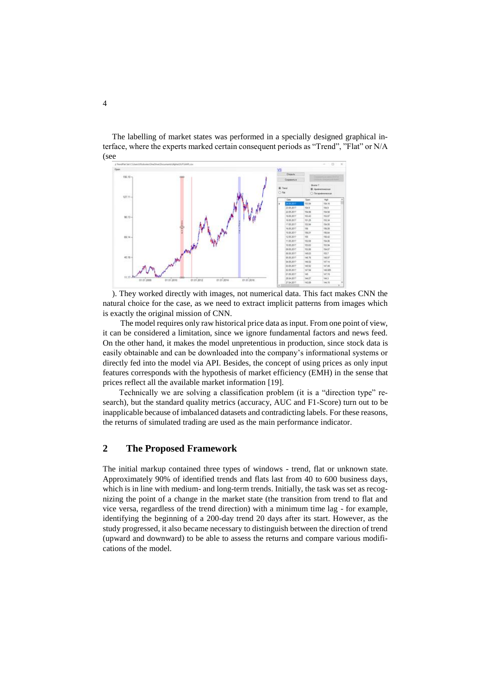The labelling of market states was performed in a specially designed graphical interface, where the experts marked certain consequent periods as "Trend", "Flat" or N/A [\(see](#page-2-0) 



). They worked directly with images, not numerical data. This fact makes CNN the natural choice for the case, as we need to extract implicit patterns from images which is exactly the original mission of CNN.

The model requires only raw historical price data as input. From one point of view, it can be considered a limitation, since we ignore fundamental factors and news feed. On the other hand, it makes the model unpretentious in production, since stock data is easily obtainable and can be downloaded into the company's informational systems or directly fed into the model via API. Besides, the concept of using prices as only input features corresponds with the hypothesis of market efficiency (EMH) in the sense that prices reflect all the available market information [19].

Technically we are solving a classification problem (it is a "direction type" research), but the standard quality metrics (accuracy, AUC and F1-Score) turn out to be inapplicable because of imbalanced datasets and contradicting labels. For these reasons, the returns of simulated trading are used as the main performance indicator.

# **2 The Proposed Framework**

The initial markup contained three types of windows - trend, flat or unknown state. Approximately 90% of identified trends and flats last from 40 to 600 business days, which is in line with medium- and long-term trends. Initially, the task was set as recognizing the point of a change in the market state (the transition from trend to flat and vice versa, regardless of the trend direction) with a minimum time lag - for example, identifying the beginning of a 200-day trend 20 days after its start. However, as the study progressed, it also became necessary to distinguish between the direction of trend (upward and downward) to be able to assess the returns and compare various modifications of the model.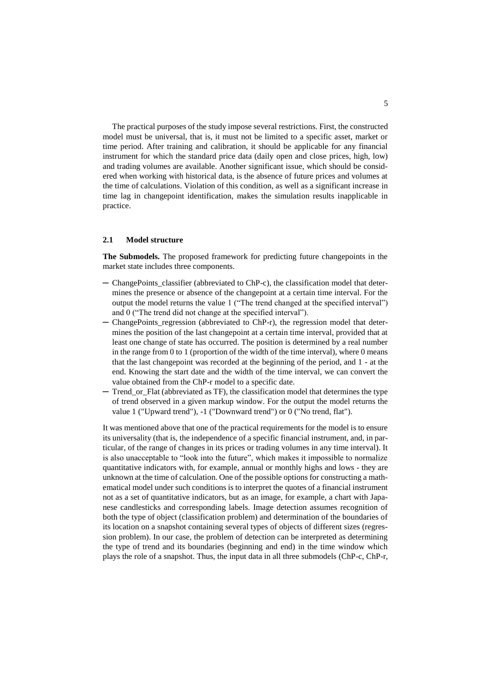The practical purposes of the study impose several restrictions. First, the constructed model must be universal, that is, it must not be limited to a specific asset, market or time period. After training and calibration, it should be applicable for any financial instrument for which the standard price data (daily open and close prices, high, low) and trading volumes are available. Another significant issue, which should be considered when working with historical data, is the absence of future prices and volumes at the time of calculations. Violation of this condition, as well as a significant increase in time lag in changepoint identification, makes the simulation results inapplicable in practice.

### **2.1 Model structure**

**The Submodels.** The proposed framework for predicting future changepoints in the market state includes three components.

- ─ ChangePoints\_classifier (abbreviated to ChP-c), the classification model that determines the presence or absence of the changepoint at a certain time interval. For the output the model returns the value 1 ("The trend changed at the specified interval") and 0 ("The trend did not change at the specified interval").
- ─ ChangePoints\_regression (abbreviated to ChP-r), the regression model that determines the position of the last changepoint at a certain time interval, provided that at least one change of state has occurred. The position is determined by a real number in the range from 0 to 1 (proportion of the width of the time interval), where 0 means that the last changepoint was recorded at the beginning of the period, and 1 - at the end. Knowing the start date and the width of the time interval, we can convert the value obtained from the ChP-r model to a specific date.
- Trend or Flat (abbreviated as TF), the classification model that determines the type of trend observed in a given markup window. For the output the model returns the value 1 ("Upward trend"), -1 ("Downward trend") or 0 ("No trend, flat").

It was mentioned above that one of the practical requirements for the model is to ensure its universality (that is, the independence of a specific financial instrument, and, in particular, of the range of changes in its prices or trading volumes in any time interval). It is also unacceptable to "look into the future", which makes it impossible to normalize quantitative indicators with, for example, annual or monthly highs and lows - they are unknown at the time of calculation. One of the possible options for constructing a mathematical model under such conditions is to interpret the quotes of a financial instrument not as a set of quantitative indicators, but as an image, for example, a chart with Japanese candlesticks and corresponding labels. Image detection assumes recognition of both the type of object (classification problem) and determination of the boundaries of its location on a snapshot containing several types of objects of different sizes (regression problem). In our case, the problem of detection can be interpreted as determining the type of trend and its boundaries (beginning and end) in the time window which plays the role of a snapshot. Thus, the input data in all three submodels (ChP-c, ChP-r,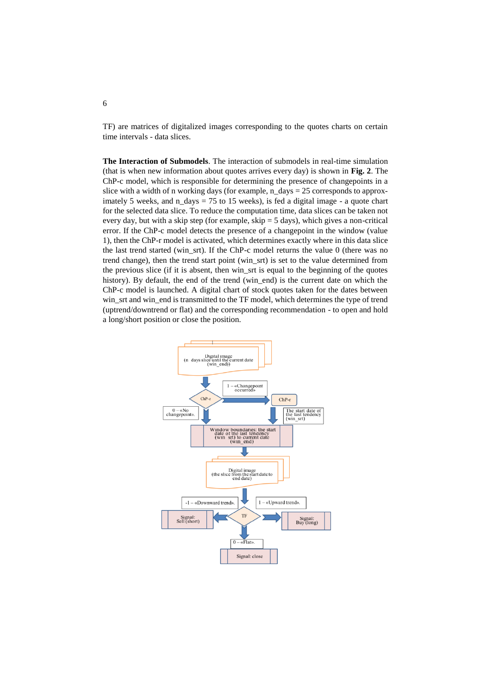TF) are matrices of digitalized images corresponding to the quotes charts on certain time intervals - data slices.

**The Interaction of Submodels**. The interaction of submodels in real-time simulation (that is when new information about quotes arrives every day) is shown in **[Fig. 2](#page-6-0)**. The ChP-c model, which is responsible for determining the presence of changepoints in a slice with a width of n working days (for example, n\_days =  $25$  corresponds to approximately 5 weeks, and n days  $= 75$  to 15 weeks), is fed a digital image - a quote chart for the selected data slice. To reduce the computation time, data slices can be taken not every day, but with a skip step (for example,  $skip = 5$  days), which gives a non-critical error. If the ChP-c model detects the presence of a changepoint in the window (value 1), then the ChP-r model is activated, which determines exactly where in this data slice the last trend started (win\_srt). If the ChP-c model returns the value 0 (there was no trend change), then the trend start point (win\_srt) is set to the value determined from the previous slice (if it is absent, then win\_srt is equal to the beginning of the quotes history). By default, the end of the trend (win\_end) is the current date on which the ChP-c model is launched. A digital chart of stock quotes taken for the dates between win\_srt and win\_end is transmitted to the TF model, which determines the type of trend (uptrend/downtrend or flat) and the corresponding recommendation - to open and hold a long/short position or close the position.



# 6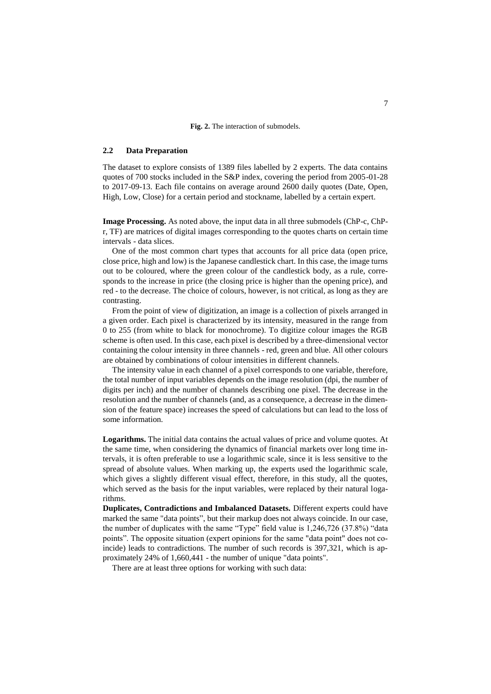#### **Fig. 2.** The interaction of submodels.

# <span id="page-6-0"></span>**2.2 Data Preparation**

The dataset to explore consists of 1389 files labelled by 2 experts. The data contains quotes of 700 stocks included in the S&P index, covering the period from 2005-01-28 to 2017-09-13. Each file contains on average around 2600 daily quotes (Date, Open, High, Low, Close) for a certain period and stockname, labelled by a certain expert.

**Image Processing.** As noted above, the input data in all three submodels (ChP-c, ChPr, TF) are matrices of digital images corresponding to the quotes charts on certain time intervals - data slices.

One of the most common chart types that accounts for all price data (open price, close price, high and low) is the Japanese candlestick chart. In this case, the image turns out to be coloured, where the green colour of the candlestick body, as a rule, corresponds to the increase in price (the closing price is higher than the opening price), and red - to the decrease. The choice of colours, however, is not critical, as long as they are contrasting.

From the point of view of digitization, an image is a collection of pixels arranged in a given order. Each pixel is characterized by its intensity, measured in the range from 0 to 255 (from white to black for monochrome). To digitize colour images the RGB scheme is often used. In this case, each pixel is described by a three-dimensional vector containing the colour intensity in three channels - red, green and blue. All other colours are obtained by combinations of colour intensities in different channels.

The intensity value in each channel of a pixel corresponds to one variable, therefore, the total number of input variables depends on the image resolution (dpi, the number of digits per inch) and the number of channels describing one pixel. The decrease in the resolution and the number of channels (and, as a consequence, a decrease in the dimension of the feature space) increases the speed of calculations but can lead to the loss of some information.

**Logarithms.** The initial data contains the actual values of price and volume quotes. At the same time, when considering the dynamics of financial markets over long time intervals, it is often preferable to use a logarithmic scale, since it is less sensitive to the spread of absolute values. When marking up, the experts used the logarithmic scale, which gives a slightly different visual effect, therefore, in this study, all the quotes, which served as the basis for the input variables, were replaced by their natural logarithms.

**Duplicates, Contradictions and Imbalanced Datasets.** Different experts could have marked the same "data points", but their markup does not always coincide. In our case, the number of duplicates with the same "Type" field value is 1,246,726 (37.8%) "data points". The opposite situation (expert opinions for the same "data point" does not coincide) leads to contradictions. The number of such records is 397,321, which is approximately 24% of 1,660,441 - the number of unique "data points".

There are at least three options for working with such data: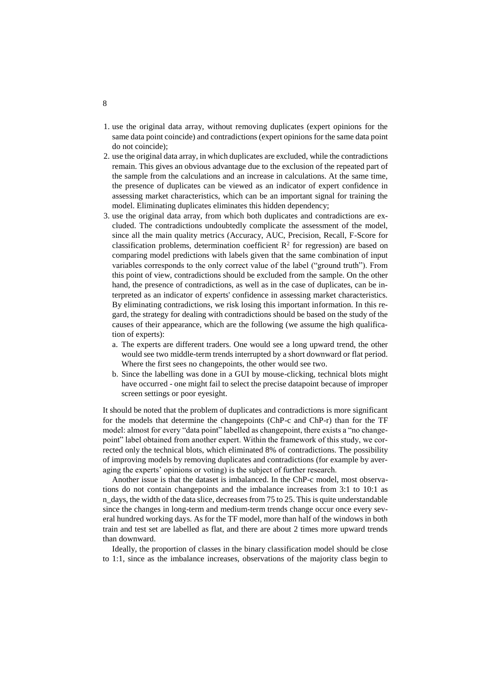- 1. use the original data array, without removing duplicates (expert opinions for the same data point coincide) and contradictions (expert opinions for the same data point do not coincide);
- 2. use the original data array, in which duplicates are excluded, while the contradictions remain. This gives an obvious advantage due to the exclusion of the repeated part of the sample from the calculations and an increase in calculations. At the same time, the presence of duplicates can be viewed as an indicator of expert confidence in assessing market characteristics, which can be an important signal for training the model. Eliminating duplicates eliminates this hidden dependency;
- 3. use the original data array, from which both duplicates and contradictions are excluded. The contradictions undoubtedly complicate the assessment of the model, since all the main quality metrics (Accuracy, AUC, Precision, Recall, F-Score for classification problems, determination coefficient  $\mathbb{R}^2$  for regression) are based on comparing model predictions with labels given that the same combination of input variables corresponds to the only correct value of the label ("ground truth"). From this point of view, contradictions should be excluded from the sample. On the other hand, the presence of contradictions, as well as in the case of duplicates, can be interpreted as an indicator of experts' confidence in assessing market characteristics. By eliminating contradictions, we risk losing this important information. In this regard, the strategy for dealing with contradictions should be based on the study of the causes of their appearance, which are the following (we assume the high qualification of experts):
	- a. The experts are different traders. One would see a long upward trend, the other would see two middle-term trends interrupted by a short downward or flat period. Where the first sees no changepoints, the other would see two.
	- b. Since the labelling was done in a GUI by mouse-clicking, technical blots might have occurred - one might fail to select the precise datapoint because of improper screen settings or poor eyesight.

It should be noted that the problem of duplicates and contradictions is more significant for the models that determine the changepoints (ChP-c and ChP-r) than for the TF model: almost for every "data point" labelled as changepoint, there exists a "no changepoint" label obtained from another expert. Within the framework of this study, we corrected only the technical blots, which eliminated 8% of contradictions. The possibility of improving models by removing duplicates and contradictions (for example by averaging the experts' opinions or voting) is the subject of further research.

Another issue is that the dataset is imbalanced. In the ChP-c model, most observations do not contain changepoints and the imbalance increases from 3:1 to 10:1 as n\_days, the width of the data slice, decreases from 75 to 25. This is quite understandable since the changes in long-term and medium-term trends change occur once every several hundred working days. As for the TF model, more than half of the windows in both train and test set are labelled as flat, and there are about 2 times more upward trends than downward.

Ideally, the proportion of classes in the binary classification model should be close to 1:1, since as the imbalance increases, observations of the majority class begin to

8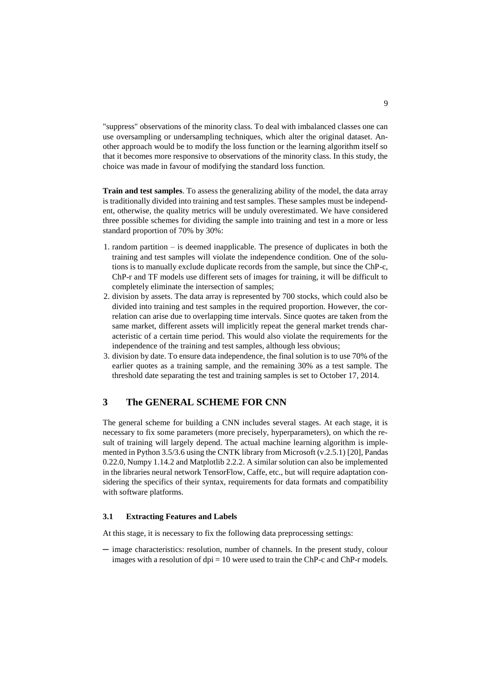"suppress" observations of the minority class. To deal with imbalanced classes one can use oversampling or undersampling techniques, which alter the original dataset. Another approach would be to modify the loss function or the learning algorithm itself so that it becomes more responsive to observations of the minority class. In this study, the choice was made in favour of modifying the standard loss function.

**Train and test samples**. To assess the generalizing ability of the model, the data array is traditionally divided into training and test samples. These samples must be independent, otherwise, the quality metrics will be unduly overestimated. We have considered three possible schemes for dividing the sample into training and test in a more or less standard proportion of 70% by 30%:

- 1. random partition is deemed inapplicable. The presence of duplicates in both the training and test samples will violate the independence condition. One of the solutions is to manually exclude duplicate records from the sample, but since the ChP-c, ChP-r and TF models use different sets of images for training, it will be difficult to completely eliminate the intersection of samples;
- 2. division by assets. The data array is represented by 700 stocks, which could also be divided into training and test samples in the required proportion. However, the correlation can arise due to overlapping time intervals. Since quotes are taken from the same market, different assets will implicitly repeat the general market trends characteristic of a certain time period. This would also violate the requirements for the independence of the training and test samples, although less obvious;
- 3. division by date. To ensure data independence, the final solution is to use 70% of the earlier quotes as a training sample, and the remaining 30% as a test sample. The threshold date separating the test and training samples is set to October 17, 2014.

# **3 The GENERAL SCHEME FOR CNN**

The general scheme for building a CNN includes several stages. At each stage, it is necessary to fix some parameters (more precisely, hyperparameters), on which the result of training will largely depend. The actual machine learning algorithm is implemented in Python 3.5/3.6 using the CNTK library from Microsoft (v.2.5.1) [20], Pandas 0.22.0, Numpy 1.14.2 and Matplotlib 2.2.2. A similar solution can also be implemented in the libraries neural network TensorFlow, Caffe, etc., but will require adaptation considering the specifics of their syntax, requirements for data formats and compatibility with software platforms.

#### **3.1 Extracting Features and Labels**

At this stage, it is necessary to fix the following data preprocessing settings:

─ image characteristics: resolution, number of channels. In the present study, colour images with a resolution of  $dpi = 10$  were used to train the ChP-c and ChP-r models.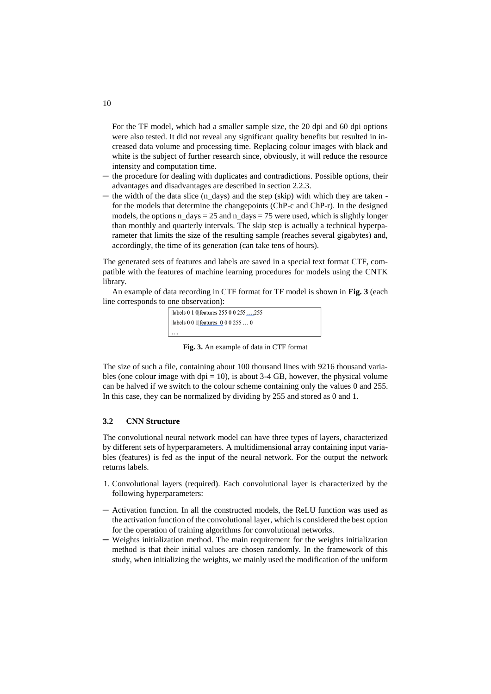For the TF model, which had a smaller sample size, the 20 dpi and 60 dpi options were also tested. It did not reveal any significant quality benefits but resulted in increased data volume and processing time. Replacing colour images with black and white is the subject of further research since, obviously, it will reduce the resource intensity and computation time.

- the procedure for dealing with duplicates and contradictions. Possible options, their advantages and disadvantages are described in section 2.2.3.
- the width of the data slice (n\_days) and the step (skip) with which they are taken for the models that determine the changepoints (ChP-c and ChP-r). In the designed models, the options n days = 25 and n\_days = 75 were used, which is slightly longer than monthly and quarterly intervals. The skip step is actually a technical hyperparameter that limits the size of the resulting sample (reaches several gigabytes) and, accordingly, the time of its generation (can take tens of hours).

The generated sets of features and labels are saved in a special text format CTF, compatible with the features of machine learning procedures for models using the CNTK library.

An example of data recording in CTF format for TF model is shown in **[Fig. 3](#page-9-0)** (each line corresponds to one observation):



**Fig. 3.** An example of data in CTF format

<span id="page-9-0"></span>The size of such a file, containing about 100 thousand lines with 9216 thousand variables (one colour image with dpi  $= 10$ ), is about 3-4 GB, however, the physical volume can be halved if we switch to the colour scheme containing only the values 0 and 255. In this case, they can be normalized by dividing by 255 and stored as 0 and 1.

#### **3.2 CNN Structure**

The convolutional neural network model can have three types of layers, characterized by different sets of hyperparameters. A multidimensional array containing input variables (features) is fed as the input of the neural network. For the output the network returns labels.

- 1. Convolutional layers (required). Each convolutional layer is characterized by the following hyperparameters:
- ─ Activation function. In all the constructed models, the ReLU function was used as the activation function of the convolutional layer, which is considered the best option for the operation of training algorithms for convolutional networks.
- ─ Weights initialization method. The main requirement for the weights initialization method is that their initial values are chosen randomly. In the framework of this study, when initializing the weights, we mainly used the modification of the uniform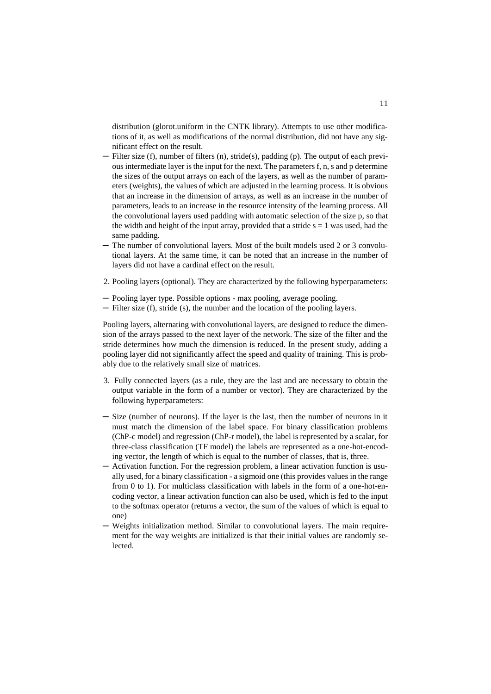distribution (glorot.uniform in the CNTK library). Attempts to use other modifications of it, as well as modifications of the normal distribution, did not have any significant effect on the result.

- ─ Filter size (f), number of filters (n), stride(s), padding (p). The output of each previous intermediate layer is the input for the next. The parameters f, n, s and p determine the sizes of the output arrays on each of the layers, as well as the number of parameters (weights), the values of which are adjusted in the learning process. It is obvious that an increase in the dimension of arrays, as well as an increase in the number of parameters, leads to an increase in the resource intensity of the learning process. All the convolutional layers used padding with automatic selection of the size p, so that the width and height of the input array, provided that a stride  $s = 1$  was used, had the same padding.
- ─ The number of convolutional layers. Most of the built models used 2 or 3 convolutional layers. At the same time, it can be noted that an increase in the number of layers did not have a cardinal effect on the result.
- 2. Pooling layers (optional). They are characterized by the following hyperparameters:
- ─ Pooling layer type. Possible options max pooling, average pooling.
- ─ Filter size (f), stride (s), the number and the location of the pooling layers.

Pooling layers, alternating with convolutional layers, are designed to reduce the dimension of the arrays passed to the next layer of the network. The size of the filter and the stride determines how much the dimension is reduced. In the present study, adding a pooling layer did not significantly affect the speed and quality of training. This is probably due to the relatively small size of matrices.

- 3. Fully connected layers (as a rule, they are the last and are necessary to obtain the output variable in the form of a number or vector). They are characterized by the following hyperparameters:
- ─ Size (number of neurons). If the layer is the last, then the number of neurons in it must match the dimension of the label space. For binary classification problems (ChP-c model) and regression (ChP-r model), the label is represented by a scalar, for three-class classification (TF model) the labels are represented as a one-hot-encoding vector, the length of which is equal to the number of classes, that is, three.
- ─ Activation function. For the regression problem, a linear activation function is usually used, for a binary classification - a sigmoid one (this provides values in the range from 0 to 1). For multiclass classification with labels in the form of a one-hot-encoding vector, a linear activation function can also be used, which is fed to the input to the softmax operator (returns a vector, the sum of the values of which is equal to one)
- Weights initialization method. Similar to convolutional layers. The main requirement for the way weights are initialized is that their initial values are randomly selected.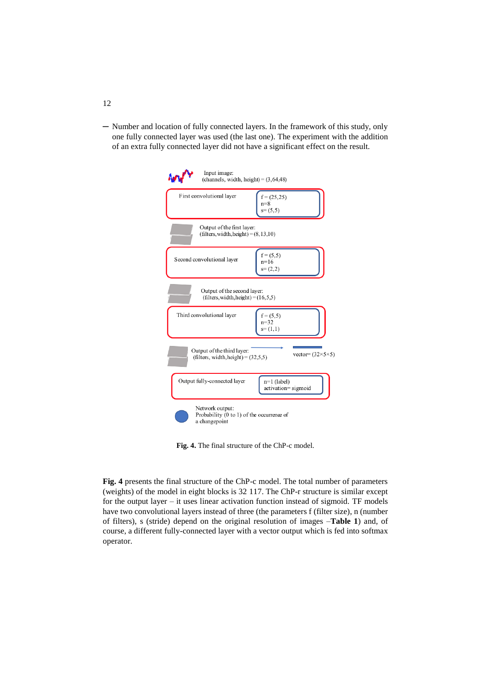─ Number and location of fully connected layers. In the framework of this study, only one fully connected layer was used (the last one). The experiment with the addition of an extra fully connected layer did not have a significant effect on the result.

| Input image:<br>(channels, width, height) = $(3, 64, 48)$                                           |  |
|-----------------------------------------------------------------------------------------------------|--|
| First convolutional layer<br>$f = (25, 25)$<br>$n=8$<br>$s=(5,5)$                                   |  |
| Output of the first layer:<br>$(filters, width, height) = (8, 13, 10)$                              |  |
| $f = (5, 5)$<br>Second convolutional layer<br>$n=16$<br>$s=(2,2)$                                   |  |
| Output of the second layer:<br>(filters, width, height) = $(16, 5, 5)$                              |  |
| Third convolutional layer<br>$f = (5, 5)$<br>$n = 32$<br>$s=(1,1)$                                  |  |
| Output of the third layer:<br>vector= $(32\times5\times5)$<br>(filters, width, height) = $(32.5,5)$ |  |
| Output fully-connected layer<br>$n=1$ (label)<br>activation=sigmoid                                 |  |
| Network output:<br>Probability $(0 \text{ to } 1)$ of the occurrence of<br>a changepoint            |  |

**Fig. 4.** The final structure of the ChP-c model.

<span id="page-11-0"></span>**[Fig. 4](#page-11-0)** presents the final structure of the ChP-c model. The total number of parameters (weights) of the model in eight blocks is 32 117. The ChP-r structure is similar except for the output layer – it uses linear activation function instead of sigmoid. TF models have two convolutional layers instead of three (the parameters f (filter size), n (number of filters), s (stride) depend on the original resolution of images –**[Table 1](#page-12-0)**) and, of course, a different fully-connected layer with a vector output which is fed into softmax operator.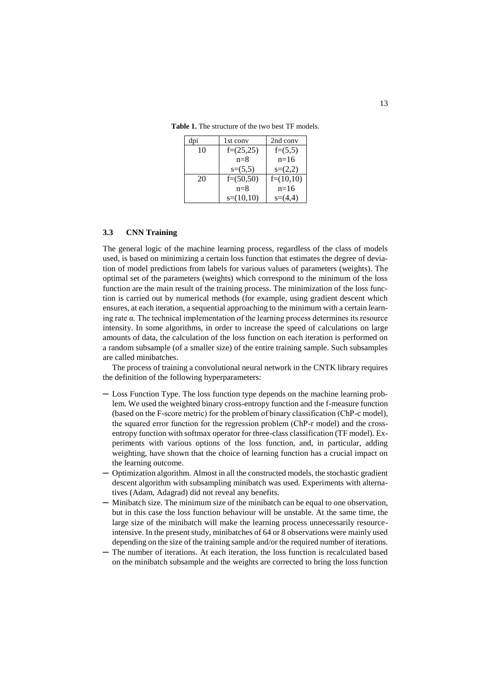| dpi | 1st conv    | 2nd conv    |
|-----|-------------|-------------|
| 10  | $f=(25,25)$ | $f=(5,5)$   |
|     | $n=8$       | $n=16$      |
|     | $s=(5,5)$   | $s=(2,2)$   |
| 20  | $f=(50,50)$ | $f=(10,10)$ |
|     | $n=8$       | $n=16$      |
|     | $s=(10,10)$ | $s=(4.4)$   |

<span id="page-12-0"></span>**Table 1.** The structure of the two best TF models.

### **3.3 CNN Training**

The general logic of the machine learning process, regardless of the class of models used, is based on minimizing a certain loss function that estimates the degree of deviation of model predictions from labels for various values of parameters (weights). The optimal set of the parameters (weights) which correspond to the minimum of the loss function are the main result of the training process. The minimization of the loss function is carried out by numerical methods (for example, using gradient descent which ensures, at each iteration, a sequential approaching to the minimum with a certain learning rate  $\alpha$ . The technical implementation of the learning process determines its resource intensity. In some algorithms, in order to increase the speed of calculations on large amounts of data, the calculation of the loss function on each iteration is performed on a random subsample (of a smaller size) of the entire training sample. Such subsamples are called minibatches.

The process of training a convolutional neural network in the CNTK library requires the definition of the following hyperparameters:

- ─ Loss Function Type. The loss function type depends on the machine learning problem. We used the weighted binary cross-entropy function and the f-measure function (based on the F-score metric) for the problem of binary classification (СhP-c model), the squared error function for the regression problem (СhP-r model) and the crossentropy function with softmax operator for three-class classification (TF model). Experiments with various options of the loss function, and, in particular, adding weighting, have shown that the choice of learning function has a crucial impact on the learning outcome.
- ─ Optimization algorithm. Almost in all the constructed models, the stochastic gradient descent algorithm with subsampling minibatch was used. Experiments with alternatives (Adam, Adagrad) did not reveal any benefits.
- ─ Minibatch size. The minimum size of the minibatch can be equal to one observation, but in this case the loss function behaviour will be unstable. At the same time, the large size of the minibatch will make the learning process unnecessarily resourceintensive. In the present study, minibatches of 64 or 8 observations were mainly used depending on the size of the training sample and/or the required number of iterations.
- The number of iterations. At each iteration, the loss function is recalculated based on the minibatch subsample and the weights are corrected to bring the loss function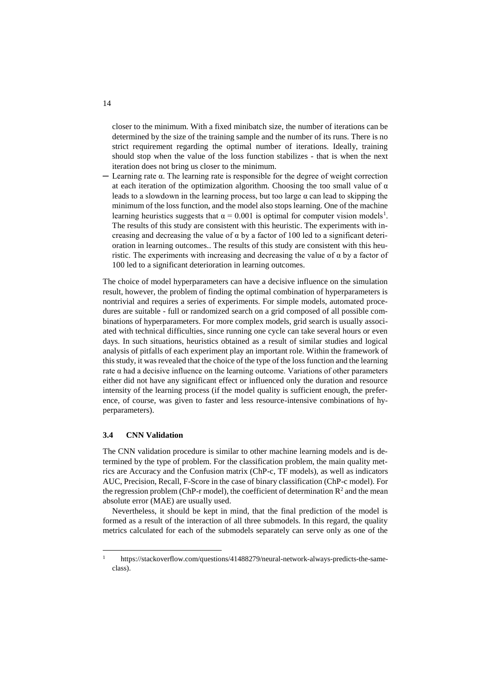closer to the minimum. With a fixed minibatch size, the number of iterations can be determined by the size of the training sample and the number of its runs. There is no strict requirement regarding the optimal number of iterations. Ideally, training should stop when the value of the loss function stabilizes - that is when the next iteration does not bring us closer to the minimum.

 $-$  Learning rate  $\alpha$ . The learning rate is responsible for the degree of weight correction at each iteration of the optimization algorithm. Choosing the too small value of  $\alpha$ leads to a slowdown in the learning process, but too large  $\alpha$  can lead to skipping the minimum of the loss function, and the model also stops learning. One of the machine learning heuristics suggests that  $\alpha = 0.001$  is optimal for computer vision models<sup>1</sup>. The results of this study are consistent with this heuristic. The experiments with increasing and decreasing the value of  $\alpha$  by a factor of 100 led to a significant deterioration in learning outcomes.. The results of this study are consistent with this heuristic. The experiments with increasing and decreasing the value of  $\alpha$  by a factor of 100 led to a significant deterioration in learning outcomes.

The choice of model hyperparameters can have a decisive influence on the simulation result, however, the problem of finding the optimal combination of hyperparameters is nontrivial and requires a series of experiments. For simple models, automated procedures are suitable - full or randomized search on a grid composed of all possible combinations of hyperparameters. For more complex models, grid search is usually associated with technical difficulties, since running one cycle can take several hours or even days. In such situations, heuristics obtained as a result of similar studies and logical analysis of pitfalls of each experiment play an important role. Within the framework of this study, it was revealed that the choice of the type of the loss function and the learning rate  $\alpha$  had a decisive influence on the learning outcome. Variations of other parameters either did not have any significant effect or influenced only the duration and resource intensity of the learning process (if the model quality is sufficient enough, the preference, of course, was given to faster and less resource-intensive combinations of hyperparameters).

#### **3.4 CNN Validation**

 $\overline{a}$ 

The CNN validation procedure is similar to other machine learning models and is determined by the type of problem. For the classification problem, the main quality metrics are Accuracy and the Confusion matrix (ChP-c, TF models), as well as indicators AUC, Precision, Recall, F-Score in the case of binary classification (ChP-c model). For the regression problem (ChP-r model), the coefficient of determination  $\mathbb{R}^2$  and the mean absolute error (MAE) are usually used.

Nevertheless, it should be kept in mind, that the final prediction of the model is formed as a result of the interaction of all three submodels. In this regard, the quality metrics calculated for each of the submodels separately can serve only as one of the

<sup>1</sup> [https://stackoverflow.com/questions/41488279/neural-network-always-predicts-the-same](https://stackoverflow.com/questions/41488279/neural-network-always-predicts-the-same-class)[class\)](https://stackoverflow.com/questions/41488279/neural-network-always-predicts-the-same-class).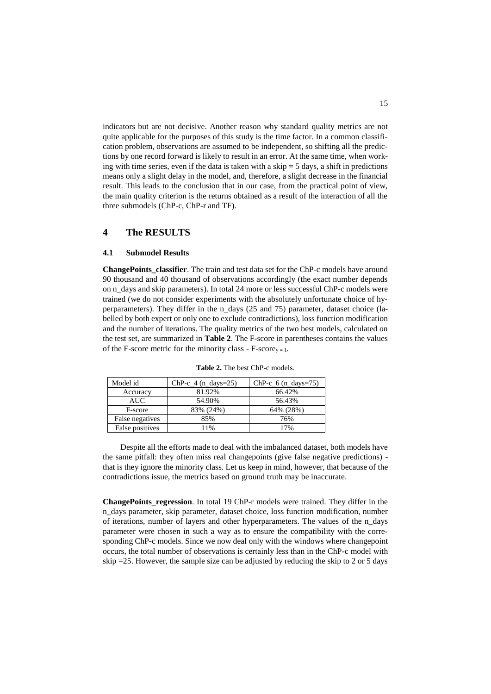indicators but are not decisive. Another reason why standard quality metrics are not quite applicable for the purposes of this study is the time factor. In a common classification problem, observations are assumed to be independent, so shifting all the predictions by one record forward is likely to result in an error. At the same time, when working with time series, even if the data is taken with a skip  $=$  5 days, a shift in predictions means only a slight delay in the model, and, therefore, a slight decrease in the financial result. This leads to the conclusion that in our case, from the practical point of view, the main quality criterion is the returns obtained as a result of the interaction of all the three submodels (ChP-c, ChP-r and TF).

# **4 The RESULTS**

#### **4.1 Submodel Results**

**ChangePoints** classifier. The train and test data set for the ChP-c models have around 90 thousand and 40 thousand of observations accordingly (the exact number depends on n\_days and skip parameters). In total 24 more or less successful ChP-c models were trained (we do not consider experiments with the absolutely unfortunate choice of hyperparameters). They differ in the n\_days (25 and 75) parameter, dataset choice (labelled by both expert or only one to exclude contradictions), loss function modification and the number of iterations. The quality metrics of the two best models, calculated on the test set, are summarized in **[Table 2](#page-14-0)**. The F-score in parentheses contains the values of the F-score metric for the minority class - F-score<sub>y = 1</sub>.

<span id="page-14-0"></span>

| Model id        | $ChP-c_4$ (n_days=25) | $ChP-c_6$ (n_days=75) |
|-----------------|-----------------------|-----------------------|
| Accuracy        | 81.92%                | 66.42%                |
| AUC-            | 54.90%                | 56.43%                |
| F-score         | 83% (24%)             | 64% (28%)             |
| False negatives | 85%                   | 76%                   |
| False positives | 1%                    | 17%                   |

**Table 2.** The best ChP-c models.

Despite all the efforts made to deal with the imbalanced dataset, both models have the same pitfall: they often miss real changepoints (give false negative predictions) that is they ignore the minority class. Let us keep in mind, however, that because of the contradictions issue, the metrics based on ground truth may be inaccurate.

**ChangePoints regression**. In total 19 ChP-r models were trained. They differ in the n\_days parameter, skip parameter, dataset choice, loss function modification, number of iterations, number of layers and other hyperparameters. The values of the n\_days parameter were chosen in such a way as to ensure the compatibility with the corresponding ChP-c models. Since we now deal only with the windows where changepoint occurs, the total number of observations is certainly less than in the ChP-c model with skip =25. However, the sample size can be adjusted by reducing the skip to 2 or 5 days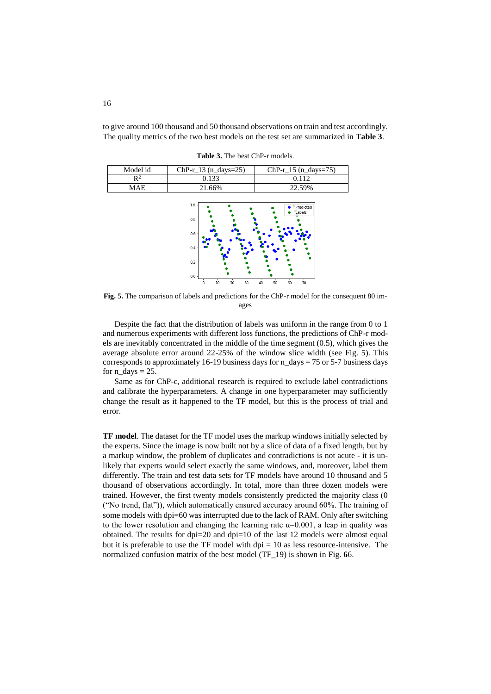<span id="page-15-0"></span>to give around 100 thousand and 50 thousand observations on train and test accordingly. The quality metrics of the two best models on the test set are summarized in **[Table 3](#page-15-0)**.

**Table 3.** The best ChP-r models.

| Model id | $ChP-r_13$ (n days=25) | $ChP-r_15$ (n_days=75) |
|----------|------------------------|------------------------|
|          | 0.133                  | 0.112                  |
| MAF      | 21.66%                 | 22.59%                 |



<span id="page-15-1"></span>**Fig. 5.** The comparison of labels and predictions for the ChP-r model for the consequent 80 images

Despite the fact that the distribution of labels was uniform in the range from 0 to 1 and numerous experiments with different loss functions, the predictions of ChP-r models are inevitably concentrated in the middle of the time segment (0.5), which gives the average absolute error around 22-25% of the window slice width (see [Fig. 5\)](#page-15-1). This corresponds to approximately 16-19 business days for n\_days = 75 or 5-7 business days for  $n\_days = 25$ .

Same as for ChP-c, additional research is required to exclude label contradictions and calibrate the hyperparameters. A change in one hyperparameter may sufficiently change the result as it happened to the TF model, but this is the process of trial and error.

**TF model**. The dataset for the TF model uses the markup windows initially selected by the experts. Since the image is now built not by a slice of data of a fixed length, but by a markup window, the problem of duplicates and contradictions is not acute - it is unlikely that experts would select exactly the same windows, and, moreover, label them differently. The train and test data sets for TF models have around 10 thousand and 5 thousand of observations accordingly. In total, more than three dozen models were trained. However, the first twenty models consistently predicted the majority class (0 ("No trend, flat")), which automatically ensured accuracy around 60%. The training of some models with dpi=60 was interrupted due to the lack of RAM. Only after switching to the lower resolution and changing the learning rate  $\alpha=0.001$ , a leap in quality was obtained. The results for dpi=20 and dpi=10 of the last 12 models were almost equal but it is preferable to use the TF model with  $dpi = 10$  as less resource-intensive. The normalized confusion matrix of the best model (TF\_19) is shown in [Fig.](#page-16-0) **6**6.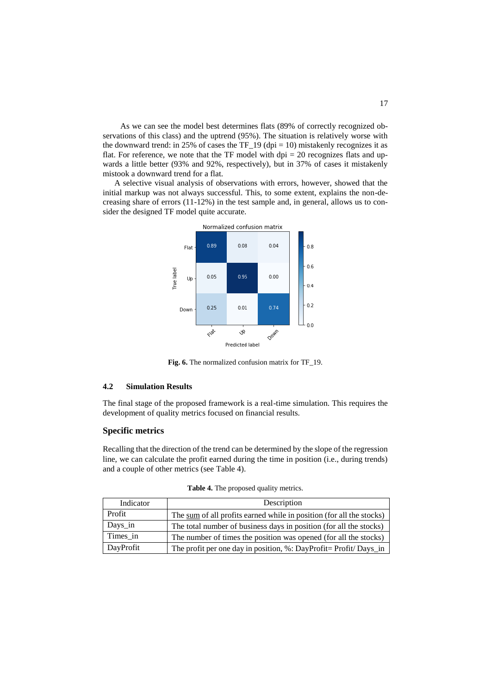As we can see the model best determines flats (89% of correctly recognized observations of this class) and the uptrend (95%). The situation is relatively worse with the downward trend: in 25% of cases the TF  $19$  (dpi = 10) mistakenly recognizes it as flat. For reference, we note that the TF model with dpi  $= 20$  recognizes flats and upwards a little better (93% and 92%, respectively), but in 37% of cases it mistakenly mistook a downward trend for a flat.

A selective visual analysis of observations with errors, however, showed that the initial markup was not always successful. This, to some extent, explains the non-decreasing share of errors (11-12%) in the test sample and, in general, allows us to consider the designed TF model quite accurate.



**Fig. 6.** The normalized confusion matrix for TF\_19.

### <span id="page-16-0"></span>**4.2 Simulation Results**

The final stage of the proposed framework is a real-time simulation. This requires the development of quality metrics focused on financial results.

# **Specific metrics**

Recalling that the direction of the trend can be determined by the slope of the regression line, we can calculate the profit earned during the time in position (i.e., during trends) and a couple of other metrics (see [Table 4\)](#page-16-1).

<span id="page-16-1"></span>

| Indicator | Description                                                          |  |  |
|-----------|----------------------------------------------------------------------|--|--|
| Profit    | The sum of all profits earned while in position (for all the stocks) |  |  |
| Days_in   | The total number of business days in position (for all the stocks)   |  |  |
| Times in  | The number of times the position was opened (for all the stocks)     |  |  |
| DayProfit | The profit per one day in position, %: DayProfit= Profit/ Days_in    |  |  |

**Table 4.** The proposed quality metrics.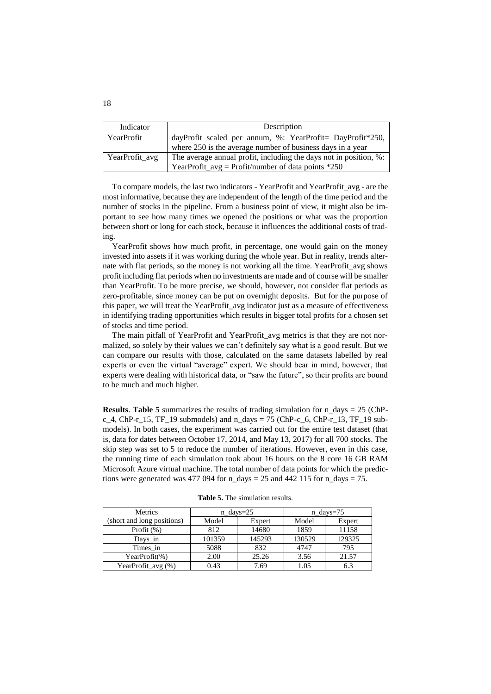| Indicator         | Description                                                                                                               |  |  |
|-------------------|---------------------------------------------------------------------------------------------------------------------------|--|--|
| <b>YearProfit</b> | dayProfit scaled per annum, %: YearProfit= DayProfit*250,<br>where 250 is the average number of business days in a year   |  |  |
| YearProfit_avg    | The average annual profit, including the days not in position, %:<br>YearProfit_avg = Profit/number of data points $*250$ |  |  |

To compare models, the last two indicators - YearProfit and YearProfit\_avg - are the most informative, because they are independent of the length of the time period and the number of stocks in the pipeline. From a business point of view, it might also be important to see how many times we opened the positions or what was the proportion between short or long for each stock, because it influences the additional costs of trading.

YearProfit shows how much profit, in percentage, one would gain on the money invested into assets if it was working during the whole year. But in reality, trends alternate with flat periods, so the money is not working all the time. YearProfit\_avg shows profit including flat periods when no investments are made and of course will be smaller than YearProfit. To be more precise, we should, however, not consider flat periods as zero-profitable, since money can be put on overnight deposits. But for the purpose of this paper, we will treat the YearProfit\_avg indicator just as a measure of effectiveness in identifying trading opportunities which results in bigger total profits for a chosen set of stocks and time period.

The main pitfall of YearProfit and YearProfit\_avg metrics is that they are not normalized, so solely by their values we can't definitely say what is a good result. But we can compare our results with those, calculated on the same datasets labelled by real experts or even the virtual "average" expert. We should bear in mind, however, that experts were dealing with historical data, or "saw the future", so their profits are bound to be much and much higher.

**Results**. **[Table 5](#page-17-0)** summarizes the results of trading simulation for  $n$  days = 25 (ChPc\_4, ChP-r\_15, TF\_19 submodels) and  $n\_days = 75$  (ChP-c\_6, ChP-r\_13, TF\_19 submodels). In both cases, the experiment was carried out for the entire test dataset (that is, data for dates between October 17, 2014, and May 13, 2017) for all 700 stocks. The skip step was set to 5 to reduce the number of iterations. However, even in this case, the running time of each simulation took about 16 hours on the 8 core 16 GB RAM Microsoft Azure virtual machine. The total number of data points for which the predictions were generated was 477 094 for  $n\_days = 25$  and 442 115 for  $n\_days = 75$ .

<span id="page-17-0"></span>

| Metrics                    | $n \text{ days} = 25$ |        | $n_{\text{days}}=75$ |        |
|----------------------------|-----------------------|--------|----------------------|--------|
| (short and long positions) | Model                 | Expert | Model                | Expert |
| Profit $(\%)$              | 812                   | 14680  | 1859                 | 11158  |
| Days in                    | 101359                | 145293 | 130529               | 129325 |
| Times in                   | 5088                  | 832    | 4747                 | 795    |
| YearProfit $(\%)$          | 2.00                  | 25.26  | 3.56                 | 21.57  |
| YearProfit_avg(%)          | 0.43                  | 7.69   | 1.05                 | 6.3    |

**Table 5.** The simulation results.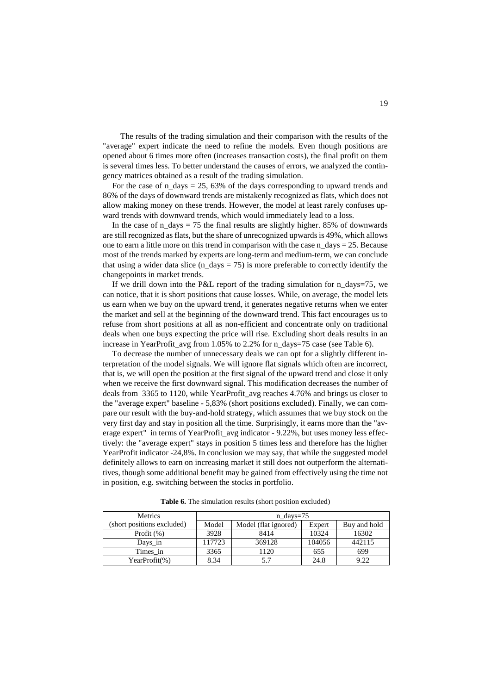The results of the trading simulation and their comparison with the results of the "average" expert indicate the need to refine the models. Even though positions are opened about 6 times more often (increases transaction costs), the final profit on them is several times less. To better understand the causes of errors, we analyzed the contingency matrices obtained as a result of the trading simulation.

For the case of  $n_d$  days = 25, 63% of the days corresponding to upward trends and 86% of the days of downward trends are mistakenly recognized as flats, which does not allow making money on these trends. However, the model at least rarely confuses upward trends with downward trends, which would immediately lead to a loss.

In the case of  $n\_days = 75$  the final results are slightly higher. 85% of downwards are still recognized as flats, but the share of unrecognized upwards is 49%, which allows one to earn a little more on this trend in comparison with the case n\_days = 25. Because most of the trends marked by experts are long-term and medium-term, we can conclude that using a wider data slice  $(n_{\text{days}} = 75)$  is more preferable to correctly identify the changepoints in market trends.

If we drill down into the P&L report of the trading simulation for n\_days=75, we can notice, that it is short positions that cause losses. While, on average, the model lets us earn when we buy on the upward trend, it generates negative returns when we enter the market and sell at the beginning of the downward trend. This fact encourages us to refuse from short positions at all as non-efficient and concentrate only on traditional deals when one buys expecting the price will rise. Excluding short deals results in an increase in YearProfit\_avg from 1.05% to 2.2% for n\_days=75 case (see [Table 6\)](#page-18-0).

To decrease the number of unnecessary deals we can opt for a slightly different interpretation of the model signals. We will ignore flat signals which often are incorrect, that is, we will open the position at the first signal of the upward trend and close it only when we receive the first downward signal. This modification decreases the number of deals from 3365 to 1120, while YearProfit\_avg reaches 4.76% and brings us closer to the "average expert" baseline - 5,83% (short positions excluded). Finally, we can compare our result with the buy-and-hold strategy, which assumes that we buy stock on the very first day and stay in position all the time. Surprisingly, it earns more than the "average expert" in terms of YearProfit\_avg indicator - 9.22%, but uses money less effectively: the "average expert" stays in position 5 times less and therefore has the higher YearProfit indicator -24,8%. In conclusion we may say, that while the suggested model definitely allows to earn on increasing market it still does not outperform the alternatitives, though some additional benefit may be gained from effectively using the time not in position, e.g. switching between the stocks in portfolio.

<span id="page-18-0"></span>

| Metrics                    | $n\_days=75$ |                      |        |              |
|----------------------------|--------------|----------------------|--------|--------------|
| (short positions excluded) | Model        | Model (flat ignored) | Expert | Buy and hold |
| Profit $(\%)$              | 3928         | 8414                 | 10324  | 16302        |
| Days in                    | 117723       | 369128               | 104056 | 442115       |
| Times in                   | 3365         | 1120                 | 655    | 699          |
| YearProfit(%)              | 8.34         |                      | 24.8   | 9.22         |

**Table 6.** The simulation results (short position excluded)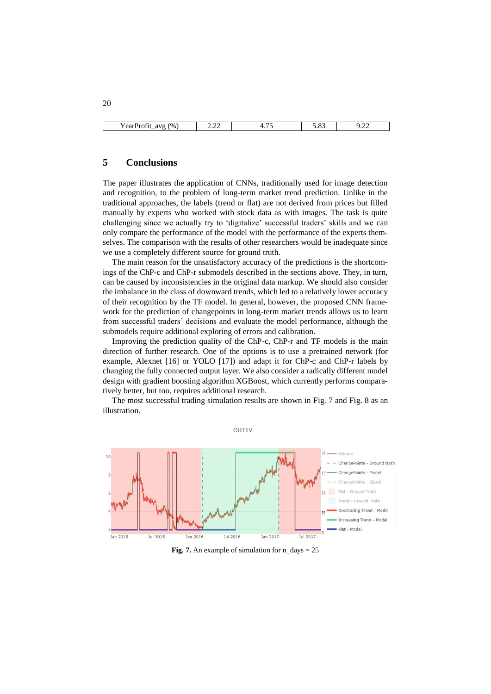| (%<br>avo<br>Y ear Profit<br>$-$ | $\sim$<br><u>_ _ _ _</u><br>the contract of the contract of the contract of | . | $\Omega$<br>ں ں ر | $\sim$<br>. |
|----------------------------------|-----------------------------------------------------------------------------|---|-------------------|-------------|

# **5 Conclusions**

The paper illustrates the application of CNNs, traditionally used for image detection and recognition, to the problem of long-term market trend prediction. Unlike in the traditional approaches, the labels (trend or flat) are not derived from prices but filled manually by experts who worked with stock data as with images. The task is quite challenging since we actually try to 'digitalize' successful traders' skills and we can only compare the performance of the model with the performance of the experts themselves. The comparison with the results of other researchers would be inadequate since we use a completely different source for ground truth.

The main reason for the unsatisfactory accuracy of the predictions is the shortcomings of the ChP-c and ChP-r submodels described in the sections above. They, in turn, can be caused by inconsistencies in the original data markup. We should also consider the imbalance in the class of downward trends, which led to a relatively lower accuracy of their recognition by the TF model. In general, however, the proposed CNN framework for the prediction of changepoints in long-term market trends allows us to learn from successful traders' decisions and evaluate the model performance, although the submodels require additional exploring of errors and calibration.

Improving the prediction quality of the ChP-c, ChP-r and TF models is the main direction of further research. One of the options is to use a pretrained network (for example, Alexnet [16] or YOLO [17]) and adapt it for ChP-c and ChP-r labels by changing the fully connected output layer. We also consider a radically different model design with gradient boosting algorithm XGBoost, which currently performs comparatively better, but too, requires additional research.

The most successful trading simulation results are shown in [Fig. 7](#page-19-0) and [Fig. 8](#page-20-0) as an illustration.

OUT<sub>1</sub>



<span id="page-19-0"></span>**Fig. 7.** An example of simulation for  $n$  days = 25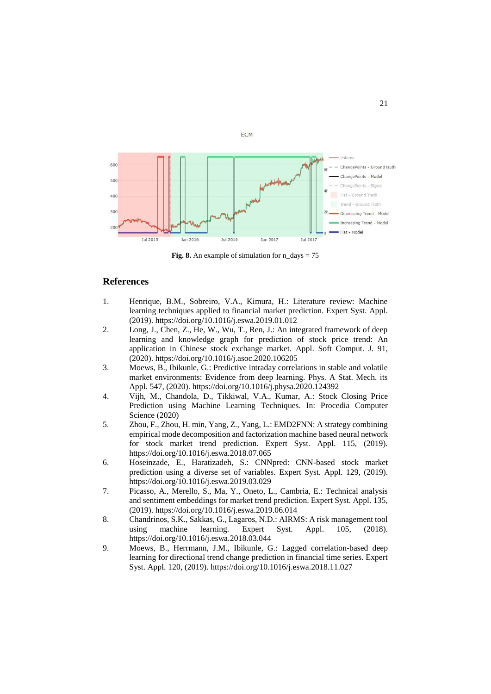

ECM

**Fig. 8.** An example of simulation for  $n$  days = 75

# <span id="page-20-0"></span>**References**

- 1. Henrique, B.M., Sobreiro, V.A., Kimura, H.: Literature review: Machine learning techniques applied to financial market prediction. Expert Syst. Appl. (2019). https://doi.org/10.1016/j.eswa.2019.01.012
- 2. Long, J., Chen, Z., He, W., Wu, T., Ren, J.: An integrated framework of deep learning and knowledge graph for prediction of stock price trend: An application in Chinese stock exchange market. Appl. Soft Comput. J. 91, (2020). https://doi.org/10.1016/j.asoc.2020.106205
- 3. Moews, B., Ibikunle, G.: Predictive intraday correlations in stable and volatile market environments: Evidence from deep learning. Phys. A Stat. Mech. its Appl. 547, (2020). https://doi.org/10.1016/j.physa.2020.124392
- 4. Vijh, M., Chandola, D., Tikkiwal, V.A., Kumar, A.: Stock Closing Price Prediction using Machine Learning Techniques. In: Procedia Computer Science (2020)
- 5. Zhou, F., Zhou, H. min, Yang, Z., Yang, L.: EMD2FNN: A strategy combining empirical mode decomposition and factorization machine based neural network for stock market trend prediction. Expert Syst. Appl. 115, (2019). https://doi.org/10.1016/j.eswa.2018.07.065
- 6. Hoseinzade, E., Haratizadeh, S.: CNNpred: CNN-based stock market prediction using a diverse set of variables. Expert Syst. Appl. 129, (2019). https://doi.org/10.1016/j.eswa.2019.03.029
- 7. Picasso, A., Merello, S., Ma, Y., Oneto, L., Cambria, E.: Technical analysis and sentiment embeddings for market trend prediction. Expert Syst. Appl. 135, (2019). https://doi.org/10.1016/j.eswa.2019.06.014
- 8. Chandrinos, S.K., Sakkas, G., Lagaros, N.D.: AIRMS: A risk management tool using machine learning. Expert Syst. Appl. 105, (2018). https://doi.org/10.1016/j.eswa.2018.03.044
- 9. Moews, B., Herrmann, J.M., Ibikunle, G.: Lagged correlation-based deep learning for directional trend change prediction in financial time series. Expert Syst. Appl. 120, (2019). https://doi.org/10.1016/j.eswa.2018.11.027